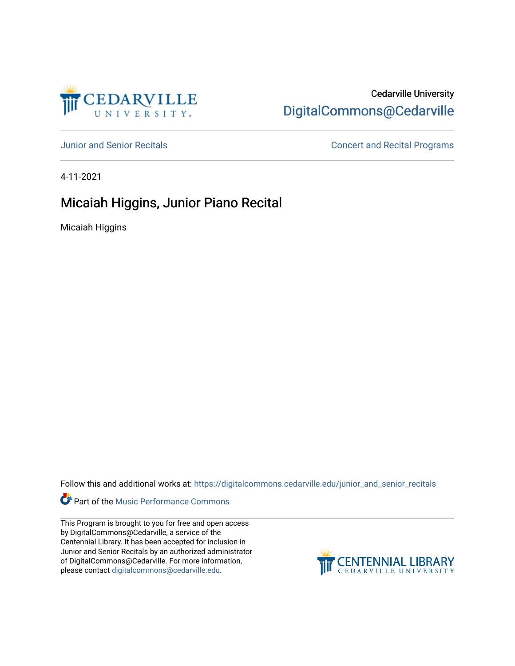

# Cedarville University [DigitalCommons@Cedarville](https://digitalcommons.cedarville.edu/)

[Junior and Senior Recitals](https://digitalcommons.cedarville.edu/junior_and_senior_recitals) **Concert and Recital Programs** 

4-11-2021

# Micaiah Higgins, Junior Piano Recital

Micaiah Higgins

Follow this and additional works at: [https://digitalcommons.cedarville.edu/junior\\_and\\_senior\\_recitals](https://digitalcommons.cedarville.edu/junior_and_senior_recitals?utm_source=digitalcommons.cedarville.edu%2Fjunior_and_senior_recitals%2F305&utm_medium=PDF&utm_campaign=PDFCoverPages) 

**Part of the [Music Performance Commons](http://network.bepress.com/hgg/discipline/1128?utm_source=digitalcommons.cedarville.edu%2Fjunior_and_senior_recitals%2F305&utm_medium=PDF&utm_campaign=PDFCoverPages)** 

This Program is brought to you for free and open access by DigitalCommons@Cedarville, a service of the Centennial Library. It has been accepted for inclusion in Junior and Senior Recitals by an authorized administrator of DigitalCommons@Cedarville. For more information, please contact [digitalcommons@cedarville.edu](mailto:digitalcommons@cedarville.edu).